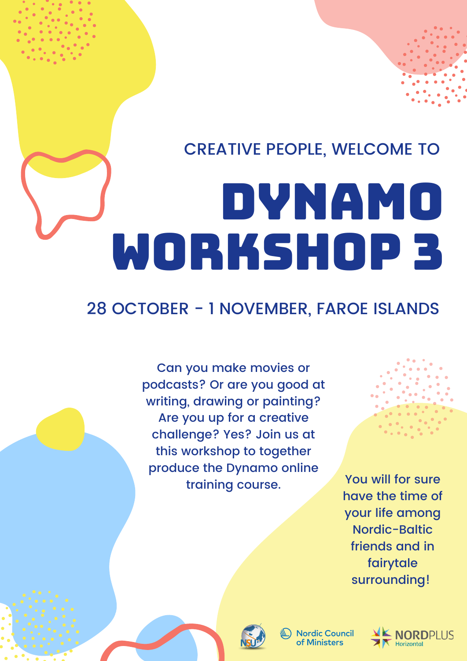## CREATIVE PEOPLE, WELCOME TO

# DYNAMO WORKSHOP 3

## 28 OCTOBER - 1 NOVEMBER, FAROE ISLANDS

Can you make movies or podcasts? Or are you good at writing, drawing or painting? Are you up for a creative challenge? Yes? Join us at this workshop to together produce the Dynamo online<br>You will for sure training course.



have the time of your life among Nordic-Baltic friends and in fairytale surrounding!



**Nordic Council** of Ministers